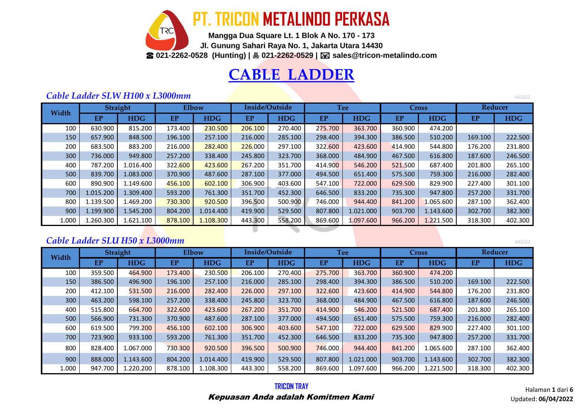**PT. TRICON METALINDO PERKASA TRC Mangga Dua Square Lt. 1 Blok A No. 170 - 173 Jl. Gunung Sahari Raya No. 1, Jakarta Utara 14430** ☎ **021-2262-0528 (Hunting) | 021-2262-0529 | sales@tricon-metalindo.com**

## **CABLE LADDER**

#### *Cable Ladder SLW H100 x L3000mm*

**EP HDG EP HDG EP HDG EP HDG EP HDG EP HDG** 100 | 630.900 | 815.200 | 173.400 <mark>| 230.500 | 206.100</mark> | 270.400 | 27<mark>5.700 |</mark> 363.700 | 360.900 | 474.200 150 657.900 848.500 196.100 257.100 216.000 285.100 298.400 394.300 386.500 510.200 169.100 222.500 200 | 683.500 | 883.200 | 216.000 <mark>| 282.400 | 226</mark>.000 | 297.100 | 322.<mark>600 |</mark> 423.600 | 414.900 | 544.800 | 176.200 | 231.800 300 736.000 949.800 257.200 338.400 245.800 323.700 368.000 484.900 467.500 616.800 187.600 246.500 400 | 787.200 | 1.016.400 | 322<mark>.600 | 423.600 |</mark> 267.200 | 351.700 | 414.900 | 546.200 | 521.500 | 687.400 | 201.800 | 265.100 500 839.700 1.083.000 370.900 487.600 287.100 377.000 494.500 651.400 575.500 759.300 216.000 282.400 600 | 890.900 | 1.149.600 | <mark>456.100 | 602.100 |</mark> 306.900 | 403.600 | 547.100 | 722.000 | 629.500 | 829.900 | 227.400 | 301.100 700 1.015.200 1.309.400 593.200 761.300 351.700 452.300 646.500 833.200 735.300 947.800 257.200 331.700 800 | 1.139.500 | 1.469.200 <mark>| 730.300 | 920.500</mark> | 396.500 | 500.900 | 746.000 | 944.400 | 841.200 | 1.065.600 | 287.100 | 362.400 900 | 1.199.900 | 1.545.200 | 804.200 | 1.014.400 | 419.900 | 529.500 | 807.800 | 1021.000 | 903.700 | 1.143.600 | 302.700 | 382.300 1.000 | 1.260.300 | 1.621.100 | <mark>878.100 | 1.108.30</mark>0 | 443.300 | 558.200 | 869.600 | 1.097.600 | 966.200 | 1.221.500 | 318.300 | 402.300 **Width Straight Elbow Inside/Outside Tee Cross Reducer**

### *Cable Ladder SLU H50 x L3000mm* 642022

**EP HDG EP HDG EP HDG EP HDG EP HDG EP HDG** 100 359.500 464.900 173.400 230.500 206.100 270.400 275.700 363.700 360.900 474.200 150 386.500 496.900 196.100 257.100 216.000 285.100 298.400 394.300 386.500 510.200 169.100 222.500 200 | 412.100 | 531.500 | 216.000 | 282.400 | 226.000 | 297.100 | 322.600 | 423.600 | 414.900 | 544.800 | 176.200 | 231.800 300 463.200 598.100 257.200 338.400 245.800 323.700 368.000 484.900 467.500 616.800 187.600 246.500 400 | 515.800 | 664.700 | 322.600 | 423.600 | 267.200 | 351.700 | 414.900 | 546.200 | 521.500 | 687.400 | 201.800 | 265.100 500 566.900 731.300 370.900 487.600 287.100 377.000 494.500 651.400 575.500 759.300 216.000 282.400 600 619.500 799.200 456.100 602.100 306.900 403.600 547.100 722.000 629.500 829.900 227.400 301.100 700 723.900 933.100 593.200 761.300 351.700 452.300 646.500 833.200 735.300 947.800 257.200 331.700 800 | 828.400 | 1.067.000 | 730.300 | 920.500 | 396.500 | 500.900 | 746.000 | 944.400 | 841.200 | 1.065.600 | 287.100 | 362.400 900 | 888.000 | 1.143.600 | 804.200 | 1.014.400 | 419.900 | 529.500 | 807.800 | 1.021.000 | 903.700 | 1.143.600 | 302.700 | 382.300 1.000 947.700 1.220.200 878.100 1.108.300 443.300 558.200 869.600 1.097.600 966.200 1.221.500 318.300 402.300 **Reducer Width Straight Elbow Inside/Outside Tee Cross**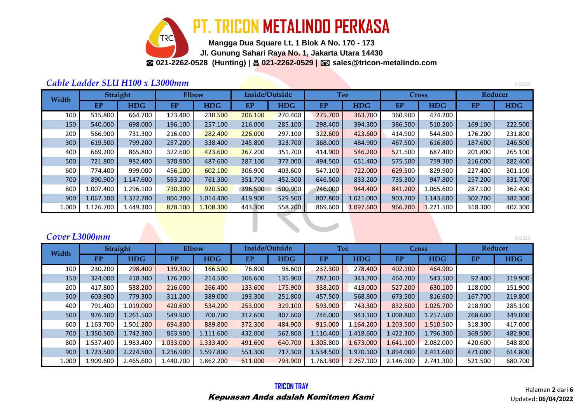

**Mangga Dua Square Lt. 1 Blok A No. 170 - 173 Jl. Gunung Sahari Raya No. 1, Jakarta Utara 14430** ☎ **021-2262-0528 (Hunting) | 021-2262-0529 | sales@tricon-metalindo.com**

#### *Cable Ladder SLU H100 x L3000mm* <sup>642022</sup>

**EP HDG EP HDG EP HDG EP HDG EP HDG EP HDG** 100 | 515.800 | 664.700 | 173.400 | 23<mark>0.500 | 206.100 |</mark> 270.400 | 275.700 | 363.700 | 360.900 | 474.200 150 540.000 698.000 196.100 257.100 216.000 285.100 298.400 394.300 386.500 510.200 169.100 222.500 200 | 566.900 | 731.300 | 216.000 | <mark>282.400 | 226.00</mark>0 | 297.100 | 322.600 | 423.600 | 414.900 | 544.800 | 176.200 | 231.800 300 619.500 799.200 257.200 338.400 245.800 323.700 368.000 484.900 467.500 616.800 187.600 246.500 400 | 669.200 | 865.800 | 322.60<mark>0 | 423.600 | 267</mark>.200 | 351.700 | 414.900 | 546.200 | 521.500 | 687.400 | 201.800 | 265.100 500 721.800 932.400 370.900 487.600 287.100 377.000 494.500 651.400 575.500 759.300 216.000 282.400 600 | 774.400 | 999.000 | 45<mark>6.100 | 602.100 |</mark> 306.900 | 403.600 | 547.100 | 722.000 | 629.500 | 829.900 | 227.400 | 301.100 700 890.900 1.147.600 593.200 761.300 351.700 452.300 646.500 833.200 735.300 947.800 257.200 331.700 800 | 1.007.400 | 1.296.100 | <mark>6730.300 | 920.500 |</mark> 396.500 | 500.900 | 746.000 | 944.400 | 841.200 | 1.065.600 | 287.100 | 362.400 | 379.100 | 379.400 | 389.400 | 399.900 | 746.000 | 944.400 | 841.200 | 1.065.600 | 287.1 900 1.067.100 1.372.700 804.200 1.014.400 419.900 529.500 807.800 1.021.000 903.700 1.143.600 302.700 382.300 1.000 | 1.126.700 | 1.449.300 <mark>| 878.100 | 1.108.300</mark> | 443.300 | 558.200 | 869.600 | 1.097.600 | 966.200 | 1.221.500 | 318.300 | 402.300 **Width Straight Elbow Inside/Outside Tee Cross Reducer**

*Cover L3000mm* <sup>642022</sup> **EP HDG EP HDG EP HDG EP HDG EP HDG EP HDG** 100 230.200 298.400 139.300 166.500 76.800 98.600 237.300 278.400 402.100 464.900 150 324.000 418.300 176.200 214.500 106.600 135.900 287.100 343.700 464.700 543.500 92.400 119.900 200 | 417.800 | 538.200 | 216.000 | 266.400 | 133.600 | 175.900 | 338.200 | 413.000 | 527.200 | 630.100 | 118.000 | 151.900 | 300 | 603.900 | 779.300 | 311.200 | 389.000 | 193.300 | 251.800 | 457.500 | 568.800 | 673.500 | 816.600 | 167.700 | 219.800 400 | 791.400 | 1.019.000 | 420.600 | 534.200 | 253.000 | 329.100 | 593.900 | 743.300 | 832.600 | 1.025.700 | 218.900 | 285.100 500 976.100 1.261.500 549.900 700.700 312.600 407.600 746.000 943.100 1.008.800 1.257.500 268.600 349.000 600 1.163.700 1.501.200 694.800 889.800 372.300 484.900 915.000 1.164.200 1.203.500 1.510.500 318.300 417.000 700 1.350.500 1.742.300 863.900 1.111.600 432.000 562.800 1.110.400 1.418.600 1.422.300 1.796.300 369.500 482.900 800 1.537.400 1.983.400 1.033.000 1.333.400 491.600 640.700 1.305.800 1.673.000 1.641.100 2.082.000 420.600 548.800 900 | 1.723.500 | 2.224.500 | 1.236.900 | 1.597.800 | 551.300 | 717.300 | 1.534.500 | 1.970.100 | 1.894.000 | 2.411.600 | 471.000 | 614.800 1.000 1.909.600 2.465.600 1.440.700 1.862.200 611.000 793.900 1.763.300 2.267.100 2.146.900 2.741.300 521.500 680.700 **Reducer Width Straight Elbow Inside/Outside Tee Cross**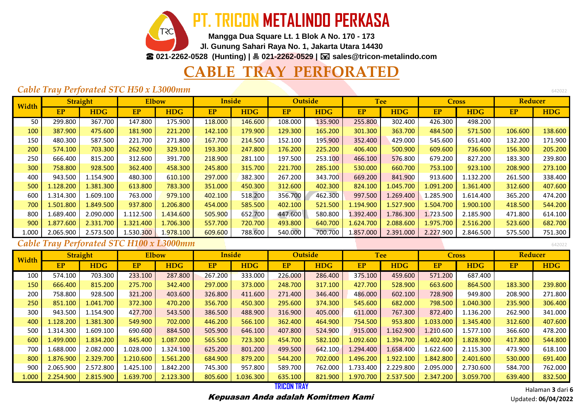

**Jl. Gunung Sahari Raya No. 1, Jakarta Utara 14430**

☎ **021-2262-0528 (Hunting) | 021-2262-0529 | sales@tricon-metalindo.com**

## **BLE TRAY PERFO**

#### **Cable Tray Perforated STC H50 x L3000mm**

| Width |           | Straight   | <b>Elbow</b> |            | <b>Inside</b> |            |           | <b>Outside</b> |           | <b>Tee</b> | <b>Cross</b> |            | <b>Reducer</b> |            |
|-------|-----------|------------|--------------|------------|---------------|------------|-----------|----------------|-----------|------------|--------------|------------|----------------|------------|
|       | <b>EP</b> | <b>HDG</b> | EP           | <b>HDG</b> | <b>EP</b>     | <b>HDG</b> | <b>EP</b> | <b>HDG</b>     | EP        | <b>HDG</b> | <b>EP</b>    | <b>HDG</b> | <b>EP</b>      | <b>HDG</b> |
| 50    | 299.800   | 367.700    | 147.800      | 175.900    | 118.000       | 146.600    | 108.000   | 135.900        | 255.800   | 302.400    | 426.300      | 498.200    |                |            |
| 100   | 387.900   | 475.600    | 181.900      | 221.200    | 142.100       | 179.900    | 129.300   | 165.200        | 301.300   | 363.700    | 484.500      | 571.500    | 106.600        | 138.600    |
| 150   | 480.300   | 587.500    | 221.700      | 271.800    | 167.700       | 214.500    | 152.100   | 195.900        | 352.400   | 429.000    | 545.600      | 651.400    | 132.200        | 171.900    |
| 200   | 574.100   | 703.300    | 262.900      | 329.100    | 193.300       | 247.800    | 176.200   | 225.200        | 406.400   | 500.900    | 609.600      | 736.600    | 156.300        | 205.200    |
| 250   | 666.400   | 815.200    | 312.600      | 391.700    | 218.900       | 281.100    | 197.500   | 253.100        | 466.100   | 576.800    | 679.200      | 827.200    | 183.300        | 239.800    |
| 300   | 758.800   | 928.500    | 362.400      | 458.300    | 245.800       | 315.700    | 221.700   | 285.100        | 530.000   | 660.700    | 753.100      | 923.100    | 208.900        | 273.100    |
| 400   | 943.500   | 1.154.900  | 480.300      | 610.100    | 297.000       | 382.300    | 267.200   | 343.700        | 669.200   | 841.900    | 913.600      | 1.132.200  | 261.500        | 338.400    |
| 500   | 1.128.200 | 1.381.300  | 613.800      | 783.300    | 351.000       | 450.300    | 312.600   | 402.300        | 824.100   | 1.045.700  | 1.091.200    | 1.361.400  | 312.600        | 407.600    |
| 600   | 1.314.300 | 1.609.100  | 763.000      | 979.100    | 402.100       | 518.200    | 356.700   | 462.300        | 997.500   | .269.400   | 1.285.900    | 1.614.400  | 365.200        | 474.200    |
| 700   | 1.501.800 | 1.849.500  | 937.800      | 1.206.800  | 454.000       | 585.500    | 402.100   | 521.500        | 1.194.900 | 1.527.900  | 1.504.700    | 1.900.100  | 418.500        | 544.200    |
| 800   | 1.689.400 | 2.090.000  | 1.112.500    | 1.434.600  | 505.900       | 652.700    | 447.600   | 580.800        | 1.392.400 | 1.786.300  | 1.723.500    | 2.185.900  | 471.800        | 614.100    |
| 900   | 1.877.600 | 2.331.700  | 1.321.400    | 1.706.300  | 557.700       | 720.700    | 493.800   | 640.700        | 1.624.700 | 2.088.600  | 1.975.700    | 2.516.200  | 523.600        | 682.700    |
| 1.000 | 2.065.900 | 2.573.500  | 1.530.300    | 1.978.100  | 609.600       | 788.600    | 540.000   | 700.700        | 1.857.000 | 2.391.000  | 2.227.900    | 2.846.500  | 575.500        | 751.300    |

#### **Cable Tray Perforated STC H100 x L3000mm**

| Width |           | <b>Straight</b> | <b>Elbow</b> |            |         | <b>Inside</b> |           | <b>Outside</b> |           | <b>Tee</b> |           | <b>Cross</b> | <b>Reducer</b> |            |
|-------|-----------|-----------------|--------------|------------|---------|---------------|-----------|----------------|-----------|------------|-----------|--------------|----------------|------------|
|       | EP        | <b>HDG</b>      | <b>EP</b>    | <b>HDG</b> | EP      | <b>HDG</b>    | <b>EP</b> | <b>HDG</b>     | <b>EP</b> | <b>HDG</b> | <b>EP</b> | <b>HDG</b>   | EP             | <b>HDG</b> |
| 100   | 574.100   | 703.300         | 233.100      | 287.800    | 267.200 | 333.000       | 226.000   | 286.400        | 375.100   | 459.600    | 571.200   | 687.400      |                |            |
| 150   | 666.400   | 815.200         | 275.700      | 342.400    | 297.000 | 373.000       | 248,700   | 317.100        | 427.700   | 528.900    | 663,600   | 864.500      | 183.300        | 239.800    |
| 200   | 758.800   | 928.500         | 321.200      | 403.600    | 326.800 | 411.600       | 271.400   | 346.400        | 486.000   | 602.100    | 728.900   | 949.800      | 208.900        | 271.800    |
| 250   | 851.100   | 1.041.700       | 372.300      | 470.200    | 356.700 | 450.300       | 295.600   | 374.300        | 545.600   | 682.000    | 798.500   | 1.040.300    | 235.900        | 306.400    |
| 300   | 943.500   | 1.154.900       | 427.700      | 543.500    | 386.500 | 488.900       | 316.900   | 405.000        | 611.000   | 767.300    | 872.400   | 1.136.200    | 262.900        | 341.000    |
| 400   | 1.128.200 | 1.381.300       | 549.900      | 702.000    | 446.200 | 566.100       | 362.400   | 464.900        | 754.500   | 953.800    | 1.033.000 | 1.345.400    | 312.600        | 407.600    |
| 500   | 1.314.300 | 1.609.100       | 690.600      | 884.500    | 505.900 | 646.100       | 407.800   | 524.900        | 915.000   | 1.162.900  | 1.210.600 | 1.577.100    | 366.600        | 478.200    |
| 600   | 1.499.000 | 1.834.200       | 845.400      | 1.087.000  | 565.500 | 723.300       | 454.700   | 582.100        | 1.092.600 | 394.700    | 1.402.400 | 1.828.900    | 417.800        | 544.800    |
| 700   | 1.688.000 | 2.082.000       | 1.028.000    | 1.324.100  | 625.200 | 801.200       | 499.500   | 642.100        | 1.294.400 | 1.658.400  | 1.622.600 | 2.115.300    | 473.900        | 618.100    |
| 800   | 1.876.900 | 2.329.700       | 1.210.600    | 1.561.200  | 684.900 | 879.200       | 544.200   | 702.000        | .496.200  | 1.922.100  | 1.842.800 | 2.401.600    | 530.000        | 691.400    |
| 900   | 2.065.900 | 2.572.800       | 1.425.100    | 1.842.200  | 745.300 | 957.800       | 589.700   | 762.000        | 1.733.400 | 2.229.800  | 2.095.000 | 2.730.600    | 584.700        | 762.000    |
| 1.000 | 2.254.900 | 2.815.900       | 1.639.700    | 2.123.300  | 805.600 | 1.036.300     | 635.100   | 821.900        | 1.970.700 | 2.537.500  | 2.347.200 | 3.059.700    | 639.400        | 832.500    |

**TRICON TRAY** Kepuasan Anda adalah Komitmen Kami

Halaman **3** dari **6** Updated: **06/04/2022**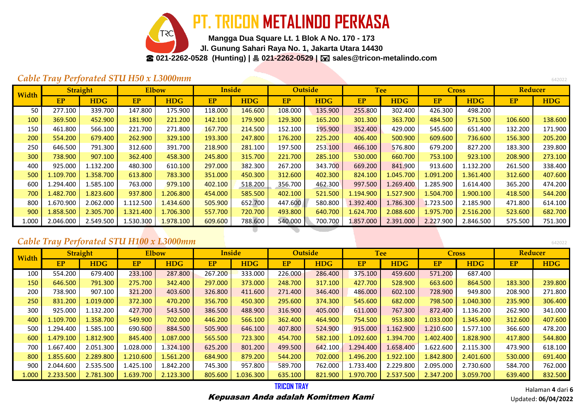**PT. TRICON METALINDO PERKASA**

**Mangga Dua Square Lt. 1 Blok A No. 170 - 173**

**Jl. Gunung Sahari Raya No. 1, Jakarta Utara 14430**

☎ **021-2262-0528 (Hunting) | 021-2262-0529 | sales@tricon-metalindo.com**

### *Cable Tray Perforated STU H50 x L3000mm* <sup>642022</sup>

-20

| Width |           | <b>Straight</b> | Elbow     |            | <b>Inside</b> |            |           | <b>Outside</b> |           | <b>Tee</b> | <b>Cross</b> |            | <b>Reducer</b> |            |
|-------|-----------|-----------------|-----------|------------|---------------|------------|-----------|----------------|-----------|------------|--------------|------------|----------------|------------|
|       | <b>EP</b> | <b>HDG</b>      | EP        | <b>HDG</b> | <b>EP</b>     | <b>HDG</b> | <b>EP</b> | <b>HDG</b>     | <b>EP</b> | <b>HDG</b> | <b>EP</b>    | <b>HDG</b> | EP             | <b>HDG</b> |
| 50    | 277.100   | 339.700         | 147.800   | 175.900    | 118.000       | 146.600    | 108.000   | 135.900        | 255.800   | 302.400    | 426.300      | 498.200    |                |            |
| 100   | 369.500   | 452.900         | 181.900   | 221.200    | 142.100       | 179.900    | 129.300   | 165.200        | 301.300   | 363.700    | 484.500      | 571.500    | 106.600        | 138.600    |
| 150   | 461.800   | 566.100         | 221.700   | 271.800    | 167.700       | 214.500    | 152.100   | 195.900        | 352.400   | 429.000    | 545.600      | 651.400    | 132.200        | 171.900    |
| 200   | 554.200   | 679.400         | 262.900   | 329.100    | 193.300       | 247.800    | 176.200   | 225.200        | 406.400   | 500.900    | 609.600      | 736.600    | 156.300        | 205.200    |
| 250   | 646.500   | 791.300         | 312.600   | 391.700    | 218.900       | 281.100    | 197.500   | 253.100        | 466.100   | 576.800    | 679.200      | 827.200    | 183.300        | 239.800    |
| 300   | 738.900   | 907.100         | 362.400   | 458.300    | 245.800       | 315.700    | 221.700   | 285.100        | 530.000   | 660.700    | 753.100      | 923.100    | 208.900        | 273.100    |
| 400   | 925.000   | 1.132.200       | 480.300   | 610.100    | 297.000       | 382.300    | 267.200   | 343.700        | 669.200   | 841.900    | 913.600      | 1.132.200  | 261.500        | 338.400    |
| 500   | 1.109.700 | 1.358.700       | 613.800   | 783.300    | 351.000       | 450.300    | 312.600   | 402.300        | 824.100   | 1.045.700  | 1.091.200    | 1.361.400  | 312.600        | 407.600    |
| 600   | 1.294.400 | 1.585.100       | 763.000   | 979.100    | 402.100       | 518.200    | 356.700   | 462.300        | 997.500   | .269.400   | 1.285.900    | 1.614.400  | 365.200        | 474.200    |
| 700   | 1.482.700 | 1.823.600       | 937.800   | 1.206.800  | 454.000       | 585.500    | 402.100   | 521.500        | 1.194.900 | 1.527.900  | 1.504.700    | 1.900.100  | 418.500        | 544.200    |
| 800   | 1.670.900 | 2.062.000       | 1.112.500 | 1.434.600  | 505.900       | 652.700    | 447.600   | 580.800        | 1.392.400 | 1.786.300  | 1.723.500    | 2.185.900  | 471.800        | 614.100    |
| 900   | 1.858.500 | 2.305.700       | 1.321.400 | 1.706.300  | 557.700       | 720.700    | 493.800   | 640.700        | 1.624.700 | 2.088.600  | 1.975.700    | 2.516.200  | 523.600        | 682.700    |
| 1.000 | 2.046.000 | 2.549.500       | 1.530.300 | 1.978.100  | 609.600       | 788.600    | 540.000   | 700.700        | 1.857.000 | 2.391.000  | 2.227.900    | 2.846.500  | 575.500        | 751.300    |

### **Cable Tray Perforated STU H100 x L3000mm**

| Width |           | <b>Straight</b> |           | <b>Elbow</b> |           | <b>Inside</b> |           | <b>Outside</b> |           | <b>Tee</b> |           | <b>Cross</b> | <b>Reducer</b> |            |
|-------|-----------|-----------------|-----------|--------------|-----------|---------------|-----------|----------------|-----------|------------|-----------|--------------|----------------|------------|
|       | EP        | <b>HDG</b>      | <b>EP</b> | <b>HDG</b>   | <b>EP</b> | <b>HDG</b>    | <b>EP</b> | <b>HDG</b>     | <b>EP</b> | <b>HDG</b> | <b>EP</b> | <b>HDG</b>   | EP             | <b>HDG</b> |
| 100   | 554.200   | 679.400         | 233.100   | 287.800      | 267.200   | 333.000       | 226.000   | 286.400        | 375.100   | 459.600    | 571.200   | 687.400      |                |            |
| 150   | 646.500   | 791.300         | 275.700   | 342,400      | 297.000   | 373.000       | 248.700   | 317.100        | 427.700   | 528.900    | 663.600   | 864.500      | 183.300        | 239.800    |
| 200   | 738.900   | 907.100         | 321.200   | 403.600      | 326.800   | 411.600       | 271.400   | 346.400        | 486.000   | 602.100    | 728.900   | 949.800      | 208.900        | 271.800    |
| 250   | 831.200   | 1.019.000       | 372.300   | 470.200      | 356.700   | 450.300       | 295.600   | 374.300        | 545.600   | 682.000    | 798.500   | 1.040.300    | 235.900        | 306.400    |
| 300   | 925.000   | 1.132.200       | 427.700   | 543.500      | 386.500   | 488.900       | 316.900   | 405.000        | 611.000   | 767.300    | 872.400   | 1.136.200    | 262.900        | 341.000    |
| 400   | 1.109.700 | 1.358.700       | 549.900   | 702.000      | 446.200   | 566.100       | 362.400   | 464.900        | 754.500   | 953.800    | 1.033.000 | 1.345.400    | 312.600        | 407.600    |
| 500   | 1.294.400 | 1.585.100       | 690.600   | 884.500      | 505.900   | 646.100       | 407.800   | 524.900        | 915.000   | 1.162.900  | 1.210.600 | 1.577.100    | 366.600        | 478.200    |
| 600   | 1.479.100 | 1.812.900       | 845.400   | 1.087.000    | 565.500   | 723.300       | 454.700   | 582.100        | 1.092.600 | 1.394.700  | 1.402.400 | 1.828.900    | 417.800        | 544.800    |
| 700   | 1.667.400 | 2.051.300       | 1.028.000 | 1.324.100    | 625.200   | 801.200       | 499.500   | 642.100        | L.294.400 | 1.658.400  | 1.622.600 | 2.115.300    | 473.900        | 618.100    |
| 800   | 1.855.600 | 2.289.800       | 1.210.600 | 1.561.200    | 684.900   | 879.200       | 544.200   | 702.000        | 1.496.200 | 1.922.100  | 1.842.800 | 2.401.600    | 530.000        | 691.400    |
| 900   | 2.044.600 | 2.535.500       | 1.425.100 | 1.842.200    | 745.300   | 957.800       | 589.700   | 762.000        | 1.733.400 | 2.229.800  | 2.095.000 | 2.730.600    | 584.700        | 762.000    |
| 1.000 | 2.233.500 | 2.781.300       | 1.639.700 | 2.123.300    | 805.600   | 1.036.300     | 635.100   | 821.900        | 1.970.700 | 2.537.500  | 2.347.200 | 3.059.700    | 639.400        | 832.500    |

Halaman **4** dari **6** Updated: **06/04/2022**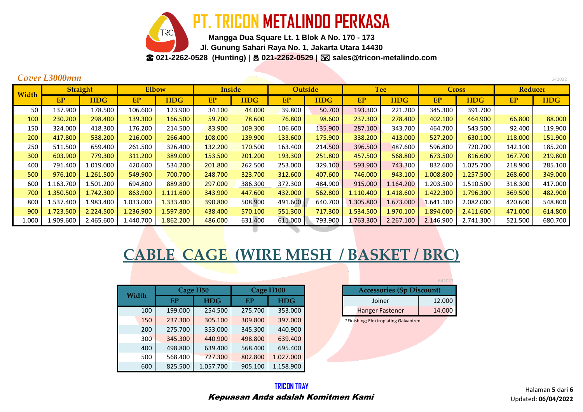**PT. TRICON METALINDO PERKASA**

**Mangga Dua Square Lt. 1 Blok A No. 170 - 173 Jl. Gunung Sahari Raya No. 1, Jakarta Utara 14430** ☎ **021-2262-0528 (Hunting) | 021-2262-0529 | sales@tricon-metalindo.com**

|       | Cover L3000mm |                 |           |              |               |            |                |            |           |            |           |              |                | 642022     |
|-------|---------------|-----------------|-----------|--------------|---------------|------------|----------------|------------|-----------|------------|-----------|--------------|----------------|------------|
| Width |               | <b>Straight</b> |           | <b>Elbow</b> | <b>Inside</b> |            | <b>Outside</b> |            |           | <b>Tee</b> |           | <b>Cross</b> | <b>Reducer</b> |            |
|       | EP            | <b>HDG</b>      | EP        | <b>HDG</b>   | EP            | <b>HDG</b> | <b>EP</b>      | <b>HDG</b> | <b>EP</b> | <b>HDG</b> | <b>EP</b> | <b>HDG</b>   | EP             | <b>HDG</b> |
| 50    | 137.900       | 178.500         | 106.600   | 123.900      | 34.100        | 44.000     | 39.800         | 50.700     | 193.300   | 221.200    | 345.300   | 391.700      |                |            |
| 100   | 230.200       | 298.400         | 139.300   | 166.500      | 59.700        | 78.600     | 76.800         | 98.600     | 237.300   | 278.400    | 402.100   | 464.900      | 66.800         | 88.000     |
| 150   | 324.000       | 418.300         | 176.200   | 214.500      | 83.900        | 109.300    | 106.600        | 135.900    | 287.100   | 343.700    | 464.700   | 543.500      | 92.400         | 119.900    |
| 200   | 417.800       | 538.200         | 216.000   | 266.400      | 108.000       | 139.900    | 133.600        | 175.900    | 338.200   | 413.000    | 527.200   | 630.100      | 118.000        | 151.900    |
| 250   | 511.500       | 659.400         | 261.500   | 326.400      | 132.200       | 170.500    | 163.400        | 214.500    | 396.500   | 487.600    | 596.800   | 720.700      | 142.100        | 185.200    |
| 300   | 603.900       | 779.300         | 311.200   | 389.000      | 153.500       | 201.200    | 193.300        | 251.800    | 457.500   | 568.800    | 673.500   | 816.600      | 167.700        | 219.800    |
| 400   | 791.400       | 1.019.000       | 420.600   | 534.200      | 201.800       | 262.500    | 253.000        | 329.100    | 593.900   | 743.300    | 832.600   | 1.025.700    | 218.900        | 285.100    |
| 500   | 976.100       | 1.261.500       | 549.900   | 700.700      | 248.700       | 323.700    | 312.600        | 407.600    | 746.000   | 943.100    | 1.008.800 | 1.257.500    | 268.600        | 349.000    |
| 600   | 1.163.700     | 1.501.200       | 694.800   | 889.800      | 297.000       | 386.300    | 372.300        | 484.900    | 915.000   | 1.164.200  | 1.203.500 | 1.510.500    | 318.300        | 417.000    |
| 700   | 1.350.500     | 1.742.300       | 863.900   | 1.111.600    | 343.900       | 447.600    | 432.000        | 562.800    | 1.110.400 | 1.418.600  | 1.422.300 | 1.796.300    | 369.500        | 482.900    |
| 800   | 1.537.400     | 1.983.400       | 1.033.000 | 1.333.400    | 390.800       | 508.900    | 491.600        | 640.700    | 1.305.800 | 1.673.000  | 1.641.100 | 2.082.000    | 420.600        | 548.800    |
| 900   | 1.723.500     | 2.224.500       | 1.236.900 | 1.597.800    | 438.400       | 570.100    | 551.300        | 717.300    | 1.534.500 | 1.970.100  | 1.894.000 | 2.411.600    | 471.000        | 614.800    |
| 1.000 | 1.909.600     | 2.465.600       | 1.440.700 | 1.862.200    | 486.000       | 631.400    | 611.000        | 793.900    | 1.763.300 | 2.267.100  | 2.146.900 | 2.741.300    | 521.500        | 680.700    |
|       |               |                 |           |              |               |            |                |            |           |            |           |              |                |            |

# **CABLE CAGE (WIRE MESH / BASKET / BRC)**

| Width |         | Cage H <sub>50</sub> |         | Cage H <sub>100</sub> | <b>Accessories (Sp Discount)</b>      |        |
|-------|---------|----------------------|---------|-----------------------|---------------------------------------|--------|
|       | EP      | <b>HDG</b>           | EP      | <b>HDG</b>            | Joiner                                | 12.000 |
| 100   | 199.000 | 254.500              | 275.700 | 353.000               | <b>Hanger Fastener</b>                | 14.000 |
| 150   | 237.300 | 305.100              | 309.800 | 397.000               | *Finishing; Elektroplating Galvanized |        |
| 200   | 275.700 | 353.000              | 345.300 | 440.900               |                                       |        |
| 300   | 345.300 | 440.900              | 498.800 | 639.400               |                                       |        |
| 400   | 498.800 | 639.400              | 568.400 | 695.400               |                                       |        |
| 500   | 568.400 | 727.300              | 802.800 | 1.027.000             |                                       |        |
| 600   | 825.500 | 1.057.700            | 905.100 | 1.158.900             |                                       |        |

|                                  | 642022 |
|----------------------------------|--------|
| <b>Accessories (Sp Discount)</b> |        |
| Joiner                           | 12.000 |
| <b>Hanger Fastener</b>           | 14.000 |
|                                  |        |

Halaman **5** dari **6** Updated: **06/04/2022**